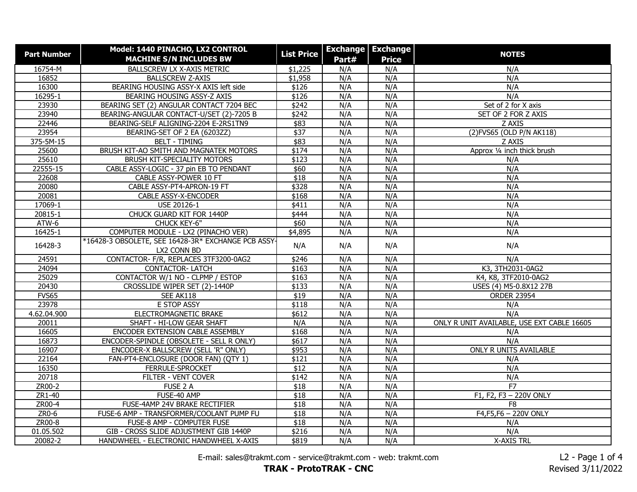| <b>Part Number</b> | Model: 1440 PINACHO, LX2 CONTROL                    | <b>List Price</b> |       | <b>Exchange   Exchange</b> | <b>NOTES</b>                               |
|--------------------|-----------------------------------------------------|-------------------|-------|----------------------------|--------------------------------------------|
|                    | <b>MACHINE S/N INCLUDES BW</b>                      |                   | Part# | <b>Price</b>               |                                            |
| 16754-M            | BALLSCREW LX X-AXIS METRIC                          | \$1,225           | N/A   | N/A                        | N/A                                        |
| 16852              | <b>BALLSCREW Z-AXIS</b>                             | \$1,958           | N/A   | N/A                        | N/A                                        |
| 16300              | BEARING HOUSING ASSY-X AXIS left side               | \$126             | N/A   | N/A                        | N/A                                        |
| 16295-1            | BEARING HOUSING ASSY-Z AXIS                         | \$126             | N/A   | N/A                        | N/A                                        |
| 23930              | BEARING SET (2) ANGULAR CONTACT 7204 BEC            | \$242             | N/A   | N/A                        | Set of 2 for X axis                        |
| 23940              | BEARING-ANGULAR CONTACT-U/SET (2)-7205 B            | \$242             | N/A   | N/A                        | SET OF 2 FOR Z AXIS                        |
| 22446              | BEARING-SELF ALIGNING-2204 E-2RS1TN9                | \$83              | N/A   | N/A                        | Z AXIS                                     |
| 23954              | BEARING-SET OF 2 EA (6203ZZ)                        | $\sqrt{$37}$      | N/A   | N/A                        | (2) FVS65 (OLD P/N AK118)                  |
| $375 - 5M - 15$    | <b>BELT - TIMING</b>                                | \$83              | N/A   | N/A                        | Z AXIS                                     |
| 25600              | BRUSH KIT-AO SMITH AND MAGNATEK MOTORS              | \$174             | N/A   | N/A                        | Approx 1/4 inch thick brush                |
| 25610              | BRUSH KIT-SPECIALITY MOTORS                         | \$123             | N/A   | N/A                        | N/A                                        |
| 22555-15           | CABLE ASSY-LOGIC - 37 pin EB TO PENDANT             | \$60              | N/A   | N/A                        | N/A                                        |
| 22608              | CABLE ASSY-POWER 10 FT                              | $\overline{$18}$  | N/A   | N/A                        | N/A                                        |
| 20080              | CABLE ASSY-PT4-APRON-19 FT                          | \$328             | N/A   | N/A                        | N/A                                        |
| 20081              | CABLE ASSY-X-ENCODER                                | \$168             | N/A   | N/A                        | N/A                                        |
| 17069-1            | USE 20126-1                                         | \$411             | N/A   | N/A                        | N/A                                        |
| 20815-1            | CHUCK GUARD KIT FOR 1440P                           | \$444             | N/A   | N/A                        | N/A                                        |
| ATW-6              | CHUCK KEY-6"                                        | \$60              | N/A   | N/A                        | N/A                                        |
| 16425-1            | COMPUTER MODULE - LX2 (PINACHO VER)                 | \$4,895           | N/A   | N/A                        | N/A                                        |
| 16428-3            | *16428-3 OBSOLETE, SEE 16428-3R* EXCHANGE PCB ASSY- | N/A               | N/A   | N/A                        | N/A                                        |
|                    | LX2 CONN BD                                         |                   |       |                            |                                            |
| 24591              | CONTACTOR- F/R, REPLACES 3TF3200-0AG2               | \$246             | N/A   | N/A                        | N/A                                        |
| 24094              | <b>CONTACTOR-LATCH</b>                              | \$163             | N/A   | N/A                        | K3, 3TH2031-0AG2                           |
| 25029              | CONTACTOR W/1 NO - CLPMP / ESTOP                    | \$163             | N/A   | N/A                        | K4, K8, 3TF2010-0AG2                       |
| 20430              | CROSSLIDE WIPER SET (2)-1440P                       | \$133             | N/A   | N/A                        | USES (4) M5-0.8X12 27B                     |
| <b>FVS65</b>       | SEE AK118                                           | $\overline{$19}$  | N/A   | N/A                        | <b>ORDER 23954</b>                         |
| 23978              | E STOP ASSY                                         | \$118             | N/A   | N/A                        | N/A                                        |
| 4.62.04.900        | ELECTROMAGNETIC BRAKE                               | \$612             | N/A   | N/A                        | N/A                                        |
| 20011              | SHAFT - HI-LOW GEAR SHAFT                           | N/A               | N/A   | N/A                        | ONLY R UNIT AVAILABLE, USE EXT CABLE 16605 |
| 16605              | ENCODER EXTENSION CABLE ASSEMBLY                    | \$168             | N/A   | N/A                        | N/A                                        |
| 16873              | ENCODER-SPINDLE (OBSOLETE - SELL R ONLY)            | \$617             | N/A   | N/A                        | N/A                                        |
| 16907              | ENCODER-X BALLSCREW (SELL 'R" ONLY)                 | \$953             | N/A   | N/A                        | ONLY R UNITS AVAILABLE                     |
| 22164              | FAN-PT4-ENCLOSURE (DOOR FAN) (QTY 1)                | \$121             | N/A   | N/A                        | N/A                                        |
| 16350              | FERRULE-SPROCKET                                    | \$12              | N/A   | N/A                        | N/A                                        |
| 20718              | FILTER - VENT COVER                                 | \$142             | N/A   | N/A                        | N/A                                        |
| ZR00-2             | FUSE 2 A                                            | $\overline{$18}$  | N/A   | N/A                        | F7                                         |
| ZR1-40             | FUSE-40 AMP                                         | \$18              | N/A   | N/A                        | F1, F2, F3 - 220V ONLY                     |
| ZR00-4             | FUSE-4AMP 24V BRAKE RECTIFIER                       | \$18              | N/A   | N/A                        | F <sub>8</sub>                             |
| $ZR0-6$            | FUSE-6 AMP - TRANSFORMER/COOLANT PUMP FU            | \$18              | N/A   | N/A                        | F4, F5, F6 - 220V ONLY                     |
| ZR00-8             | FUSE-8 AMP - COMPUTER FUSE                          | \$18              | N/A   | N/A                        | N/A                                        |
| 01.05.502          | GIB - CROSS SLIDE ADJUSTMENT GIB 1440P              | \$216             | N/A   | N/A                        | N/A                                        |
| 20082-2            | HANDWHEEL - ELECTRONIC HANDWHEEL X-AXIS             | \$819             | N/A   | N/A                        | X-AXIS TRL                                 |

E-mail: sales@trakmt.com - service@trakmt.com - web: trakmt.com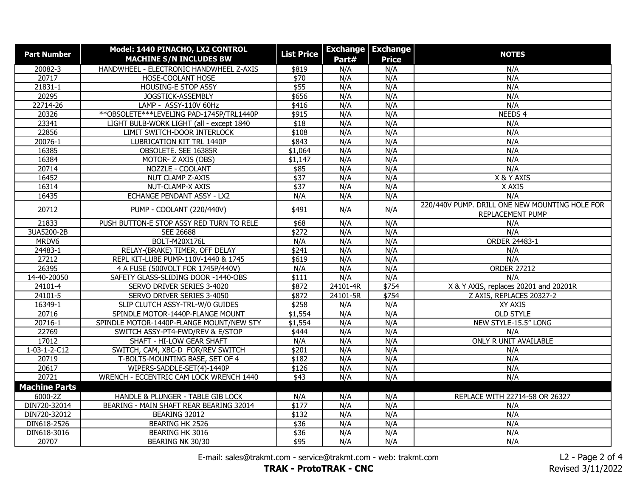| <b>Part Number</b>   | Model: 1440 PINACHO, LX2 CONTROL             | <b>List Price</b> | <b>Exchange</b> | <b>Exchange</b> | <b>NOTES</b>                                   |
|----------------------|----------------------------------------------|-------------------|-----------------|-----------------|------------------------------------------------|
|                      | <b>MACHINE S/N INCLUDES BW</b>               |                   | Part#           | <b>Price</b>    |                                                |
| 20082-3              | HANDWHEEL - ELECTRONIC HANDWHEEL Z-AXIS      | \$819             | N/A             | N/A             | N/A                                            |
| 20717                | HOSE-COOLANT HOSE                            | $\sqrt{$70}$      | N/A             | N/A             | N/A                                            |
| $21831 - 1$          | HOUSING-E STOP ASSY                          | \$55              | N/A             | N/A             | N/A                                            |
| 20295                | JOGSTICK-ASSEMBLY                            | \$656             | N/A             | N/A             | N/A                                            |
| 22714-26             | LAMP - ASSY-110V 60Hz                        | \$416             | N/A             | N/A             | N/A                                            |
| 20326                | ** OBSOLETE *** LEVELING PAD-1745 P/TRL1440P | $\sqrt{$915}$     | N/A             | N/A             | NEEDS 4                                        |
| 23341                | LIGHT BULB-WORK LIGHT (all - except 1840     | \$18              | N/A             | N/A             | N/A                                            |
| 22856                | LIMIT SWITCH-DOOR INTERLOCK                  | \$108             | N/A             | N/A             | N/A                                            |
| 20076-1              | LUBRICATION KIT TRL 1440P                    | \$843             | N/A             | N/A             | N/A                                            |
| 16385                | OBSOLETE. SEE 16385R                         | \$1,064           | N/A             | N/A             | N/A                                            |
| 16384                | MOTOR- Z AXIS (OBS)                          | \$1,147           | N/A             | N/A             | N/A                                            |
| 20714                | NOZZLE - COOLANT                             | \$85              | N/A             | N/A             | N/A                                            |
| 16452                | <b>NUT CLAMP Z-AXIS</b>                      | \$37              | N/A             | N/A             | X & Y AXIS                                     |
| 16314                | NUT-CLAMP-X AXIS                             | $\sqrt{$37}$      | N/A             | N/A             | X AXIS                                         |
| 16435                | ECHANGE PENDANT ASSY - LX2                   | N/A               | N/A             | N/A             | N/A                                            |
| 20712                | PUMP - COOLANT (220/440V)                    | \$491             | N/A             | N/A             | 220/440V PUMP. DRILL ONE NEW MOUNTING HOLE FOR |
|                      |                                              |                   |                 |                 | REPLACEMENT PUMP                               |
| 21833                | PUSH BUTTON-E STOP ASSY RED TURN TO RELE     | \$68              | N/A             | N/A             | N/A                                            |
| 3UA5200-2B           | SEE 26688                                    | \$272             | N/A             | N/A             | N/A                                            |
| MRDV6                | <b>BOLT-M20X176L</b>                         | N/A               | N/A             | N/A             | <b>ORDER 24483-1</b>                           |
| 24483-1              | RELAY-(BRAKE) TIMER, OFF DELAY               | \$241             | N/A             | N/A             | N/A                                            |
| 27212                | REPL KIT-LUBE PUMP-110V-1440 & 1745          | \$619             | N/A             | N/A             | N/A                                            |
| 26395                | 4 A FUSE (500VOLT FOR 1745P/440V)            | N/A               | N/A             | N/A             | <b>ORDER 27212</b>                             |
| 14-40-20050          | SAFETY GLASS-SLIDING DOOR -1440-OBS          | \$111             | N/A             | N/A             | N/A                                            |
| $24101 - 4$          | SERVO DRIVER SERIES 3-4020                   | \$872             | 24101-4R        | \$754           | X & Y AXIS, replaces 20201 and 20201R          |
| 24101-5              | SERVO DRIVER SERIES 3-4050                   | \$872             | 24101-5R        | \$754           | Z AXIS, REPLACES 20327-2                       |
| 16349-1              | SLIP CLUTCH ASSY-TRL-W/0 GUIDES              | \$258             | N/A             | N/A             | XY AXIS                                        |
| 20716                | SPINDLE MOTOR-1440P-FLANGE MOUNT             | \$1,554           | N/A             | N/A             | <b>OLD STYLE</b>                               |
| 20716-1              | SPINDLE MOTOR-1440P-FLANGE MOUNT/NEW STY     | \$1,554           | N/A             | N/A             | NEW STYLE-15.5" LONG                           |
| 22769                | SWITCH ASSY-PT4-FWD/REV & E/STOP             | \$444             | N/A             | N/A             | N/A                                            |
| 17012                | SHAFT - HI-LOW GEAR SHAFT                    | N/A               | N/A             | N/A             | ONLY R UNIT AVAILABLE                          |
| $1-03-1-2-C12$       | SWITCH, CAM, XBC-D FOR/REV SWITCH            | \$201             | N/A             | N/A             | N/A                                            |
| 20719                | T-BOLTS-MOUNTING BASE, SET OF 4              | \$182             | N/A             | N/A             | N/A                                            |
| 20617                | WIPERS-SADDLE-SET(4)-1440P                   | \$126             | N/A             | N/A             | N/A                                            |
| 20721                | WRENCH - ECCENTRIC CAM LOCK WRENCH 1440      | \$43              | N/A             | N/A             | N/A                                            |
| <b>Machine Parts</b> |                                              |                   |                 |                 |                                                |
| 6000-2Z              | HANDLE & PLUNGER - TABLE GIB LOCK            | N/A               | N/A             | N/A             | REPLACE WITH 22714-58 OR 26327                 |
| DIN720-32014         | BEARING - MAIN SHAFT REAR BEARING 32014      | \$177             | N/A             | N/A             | N/A                                            |
| DIN720-32012         | BEARING 32012                                | \$132             | N/A             | N/A             | N/A                                            |
| DIN618-2526          | BEARING HK 2526                              | \$36              | N/A             | N/A             | N/A                                            |
| DIN618-3016          | BEARING HK 3016                              | \$36              | N/A             | N/A             | N/A                                            |
| 20707                | BEARING NK 30/30                             | \$95              | N/A             | N/A             | N/A                                            |

E-mail: sales@trakmt.com - service@trakmt.com - web: trakmt.com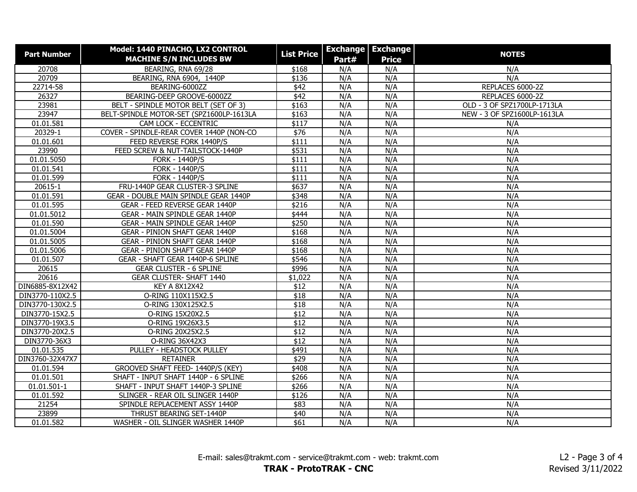| <b>Part Number</b> | Model: 1440 PINACHO, LX2 CONTROL         | <b>List Price</b> | <b>Exchange</b> | <b>Exchange</b> | <b>NOTES</b>                |
|--------------------|------------------------------------------|-------------------|-----------------|-----------------|-----------------------------|
|                    | <b>MACHINE S/N INCLUDES BW</b>           |                   | Part#           | <b>Price</b>    |                             |
| 20708              | BEARING, RNA 69/28                       | \$168             | N/A             | N/A             | N/A                         |
| 20709              | BEARING, RNA 6904, 1440P                 | \$136             | N/A             | N/A             | N/A                         |
| 22714-58           | BEARING-6000ZZ                           | \$42              | N/A             | N/A             | REPLACES 6000-2Z            |
| 26327              | BEARING-DEEP GROOVE-6000ZZ               | $\sqrt{42}$       | N/A             | N/A             | REPLACES 6000-2Z            |
| 23981              | BELT - SPINDLE MOTOR BELT (SET OF 3)     | \$163             | N/A             | N/A             | OLD - 3 OF SPZ1700LP-1713LA |
| 23947              | BELT-SPINDLE MOTOR-SET (SPZ1600LP-1613LA | \$163             | N/A             | N/A             | NEW - 3 OF SPZ1600LP-1613LA |
| 01.01.581          | CAM LOCK - ECCENTRIC                     | \$117             | N/A             | N/A             | N/A                         |
| 20329-1            | COVER - SPINDLE-REAR COVER 1440P (NON-CO | \$76              | N/A             | N/A             | N/A                         |
| 01.01.601          | FEED REVERSE FORK 1440P/S                | \$111             | N/A             | N/A             | N/A                         |
| 23990              | FEED SCREW & NUT-TAILSTOCK-1440P         | \$531             | N/A             | N/A             | N/A                         |
| 01.01.5050         | <b>FORK - 1440P/S</b>                    | \$111             | N/A             | N/A             | N/A                         |
| 01.01.541          | <b>FORK - 1440P/S</b>                    | \$111             | N/A             | N/A             | N/A                         |
| 01.01.599          | <b>FORK - 1440P/S</b>                    | \$111             | N/A             | N/A             | N/A                         |
| 20615-1            | FRU-1440P GEAR CLUSTER-3 SPLINE          | \$637             | N/A             | N/A             | N/A                         |
| 01.01.591          | GEAR - DOUBLE MAIN SPINDLE GEAR 1440P    | \$348             | N/A             | N/A             | N/A                         |
| 01.01.595          | GEAR - FEED REVERSE GEAR 1440P           | \$216             | N/A             | N/A             | N/A                         |
| 01.01.5012         | <b>GEAR - MAIN SPINDLE GEAR 1440P</b>    | \$444             | N/A             | N/A             | N/A                         |
| 01.01.590          | GEAR - MAIN SPINDLE GEAR 1440P           | \$250             | N/A             | N/A             | N/A                         |
| 01.01.5004         | <b>GEAR - PINION SHAFT GEAR 1440P</b>    | \$168             | N/A             | N/A             | N/A                         |
| 01.01.5005         | <b>GEAR - PINION SHAFT GEAR 1440P</b>    | \$168             | N/A             | N/A             | N/A                         |
| 01.01.5006         | <b>GEAR - PINION SHAFT GEAR 1440P</b>    | \$168             | N/A             | N/A             | N/A                         |
| 01.01.507          | GEAR - SHAFT GEAR 1440P-6 SPLINE         | \$546             | N/A             | N/A             | N/A                         |
| 20615              | <b>GEAR CLUSTER - 6 SPLINE</b>           | \$996             | N/A             | N/A             | N/A                         |
| 20616              | <b>GEAR CLUSTER- SHAFT 1440</b>          | \$1,022           | N/A             | N/A             | N/A                         |
| DIN6885-8X12X42    | <b>KEY A 8X12X42</b>                     | \$12              | N/A             | N/A             | N/A                         |
| DIN3770-110X2.5    | O-RING 110X115X2.5                       | \$18              | N/A             | N/A             | N/A                         |
| DIN3770-130X2.5    | O-RING 130X125X2.5                       | \$18              | N/A             | N/A             | N/A                         |
| DIN3770-15X2.5     | O-RING 15X20X2.5                         | \$12              | N/A             | N/A             | N/A                         |
| DIN3770-19X3.5     | O-RING 19X26X3.5                         | \$12              | N/A             | N/A             | N/A                         |
| DIN3770-20X2.5     | O-RING 20X25X2.5                         | \$12              | N/A             | N/A             | N/A                         |
| DIN3770-36X3       | O-RING 36X42X3                           | \$12              | N/A             | N/A             | N/A                         |
| 01.01.535          | PULLEY - HEADSTOCK PULLEY                | \$491             | N/A             | N/A             | N/A                         |
| DIN3760-32X47X7    | <b>RETAINER</b>                          | \$29              | N/A             | N/A             | N/A                         |
| 01.01.594          | GROOVED SHAFT FEED- 1440P/S (KEY)        | \$408             | N/A             | N/A             | N/A                         |
| 01.01.501          | SHAFT - INPUT SHAFT 1440P - 6 SPLINE     | \$266             | N/A             | N/A             | N/A                         |
| 01.01.501-1        | SHAFT - INPUT SHAFT 1440P-3 SPLINE       | \$266             | N/A             | N/A             | N/A                         |
| 01.01.592          | SLINGER - REAR OIL SLINGER 1440P         | \$126             | N/A             | N/A             | N/A                         |
| 21254              | SPINDLE REPLACEMENT ASSY 1440P           | \$83              | N/A             | N/A             | N/A                         |
| 23899              | THRUST BEARING SET-1440P                 | \$40              | N/A             | N/A             | N/A                         |
| 01.01.582          | WASHER - OIL SLINGER WASHER 1440P        | \$61              | N/A             | N/A             | N/A                         |